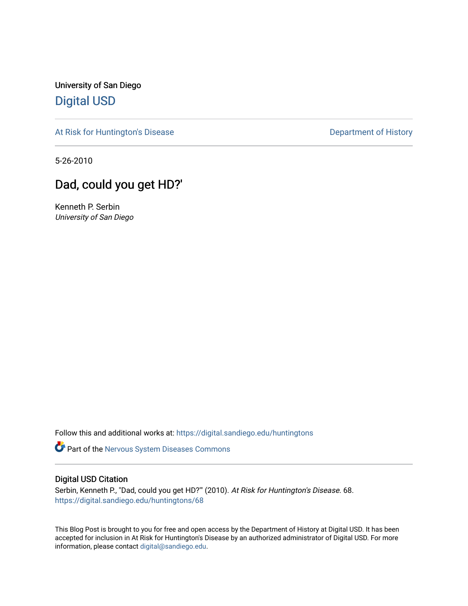University of San Diego [Digital USD](https://digital.sandiego.edu/)

[At Risk for Huntington's Disease](https://digital.sandiego.edu/huntingtons) **Department of History** Department of History

5-26-2010

# Dad, could you get HD?'

Kenneth P. Serbin University of San Diego

Follow this and additional works at: [https://digital.sandiego.edu/huntingtons](https://digital.sandiego.edu/huntingtons?utm_source=digital.sandiego.edu%2Fhuntingtons%2F68&utm_medium=PDF&utm_campaign=PDFCoverPages)

Part of the [Nervous System Diseases Commons](http://network.bepress.com/hgg/discipline/928?utm_source=digital.sandiego.edu%2Fhuntingtons%2F68&utm_medium=PDF&utm_campaign=PDFCoverPages)

# Digital USD Citation

Serbin, Kenneth P., "Dad, could you get HD?"" (2010). At Risk for Huntington's Disease. 68. [https://digital.sandiego.edu/huntingtons/68](https://digital.sandiego.edu/huntingtons/68?utm_source=digital.sandiego.edu%2Fhuntingtons%2F68&utm_medium=PDF&utm_campaign=PDFCoverPages)

This Blog Post is brought to you for free and open access by the Department of History at Digital USD. It has been accepted for inclusion in At Risk for Huntington's Disease by an authorized administrator of Digital USD. For more information, please contact [digital@sandiego.edu.](mailto:digital@sandiego.edu)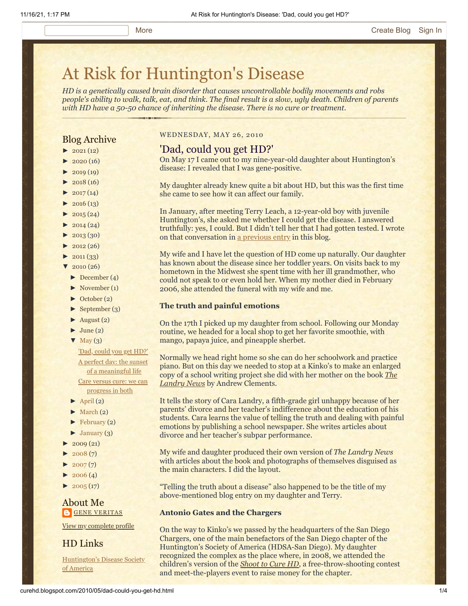# [At Risk for Huntington's Disease](http://curehd.blogspot.com/)

*HD is a genetically caused brain disorder that causes uncontrollable bodily movements and robs people's ability to walk, talk, eat, and think. The final result is a slow, ugly death. Children of parents with HD have a 50-50 chance of inheriting the disease. There is no cure or treatment.*

# Blog Archive

- $\blacktriangleright$  [2021](http://curehd.blogspot.com/2021/)(12)
- $\blacktriangleright$  [2020](http://curehd.blogspot.com/2020/) (16)
- $\blacktriangleright$  [2019](http://curehd.blogspot.com/2019/) (19)
- $\blacktriangleright$  [2018](http://curehd.blogspot.com/2018/) (16)
- $\blacktriangleright$  [2017](http://curehd.blogspot.com/2017/) (14)
- $2016(13)$  $2016(13)$
- $\blacktriangleright$  [2015](http://curehd.blogspot.com/2015/) (24)
- $\blacktriangleright$  [2014](http://curehd.blogspot.com/2014/) (24)
- $\blacktriangleright$  [2013](http://curehd.blogspot.com/2013/) (30)
- $\blacktriangleright$  [2012](http://curehd.blogspot.com/2012/) (26)
- $\blacktriangleright$  [2011](http://curehd.blogspot.com/2011/) (33)
- $\sqrt{2010(26)}$  $\sqrt{2010(26)}$  $\sqrt{2010(26)}$ 
	- [►](javascript:void(0)) [December](http://curehd.blogspot.com/2010/12/) (4)
	- [►](javascript:void(0)) [November](http://curehd.blogspot.com/2010/11/) (1)
	- [►](javascript:void(0)) [October](http://curehd.blogspot.com/2010/10/) (2)
	- $\blacktriangleright$  [September](http://curehd.blogspot.com/2010/09/) (3)
	- $\blacktriangleright$  [August](http://curehd.blogspot.com/2010/08/) (2)
	- $\blacktriangleright$  [June](http://curehd.blogspot.com/2010/06/) (2)
	- $\nabla$  [May](http://curehd.blogspot.com/2010/05/)  $(3)$ 
		- 'Dad, [could](http://curehd.blogspot.com/2010/05/dad-could-you-get-hd.html) you get HD?' A perfect day: the sunset of a [meaningful](http://curehd.blogspot.com/2010/05/perfect-day-sunset-of-meaningful-life.html) life Care versus cure: we can [progress](http://curehd.blogspot.com/2010/05/care-versus-cure-we-can-progress-in.html) in both
	- $\blacktriangleright$  [April](http://curehd.blogspot.com/2010/04/) (2)
	- $\blacktriangleright$  [March](http://curehd.blogspot.com/2010/03/) (2)
	- $\blacktriangleright$  [February](http://curehd.blogspot.com/2010/02/) (2)
	- [►](javascript:void(0)) [January](http://curehd.blogspot.com/2010/01/) (3)
- $2009(21)$  $2009(21)$
- $2008(7)$  $2008(7)$
- $\blacktriangleright$  [2007](http://curehd.blogspot.com/2007/) $(7)$
- $2006(4)$  $2006(4)$
- $2005(17)$  $2005(17)$

# About Me **GENE [VERITAS](https://www.blogger.com/profile/10911736205741688185)**

View my [complete](https://www.blogger.com/profile/10911736205741688185) profile

# HD Links

[Huntington's](http://www.hdsa.org/) Disease Society of America

### WEDNESDAY, MAY 26, 2010

# 'Dad, could you get HD?'

On May 17 I came out to my nine-year-old daughter about Huntington's disease: I revealed that I was gene-positive.

My daughter already knew quite a bit about HD, but this was the first time she came to see how it can affect our family.

In January, after meeting Terry Leach, a 12-year-old boy with juvenile Huntington's, she asked me whether I could get the disease. I answered truthfully: yes, I could. But I didn't tell her that I had gotten tested. I wrote on that conversation in <u>[a previous entry](http://curehd.blogspot.com/2010/01/telling-truth-about-disease.html)</u> in this blog.

My wife and I have let the question of HD come up naturally. Our daughter has known about the disease since her toddler years. On visits back to my hometown in the Midwest she spent time with her ill grandmother, who could not speak to or even hold her. When my mother died in February 2006, she attended the funeral with my wife and me.

#### **The truth and painful emotions**

On the 17th I picked up my daughter from school. Following our Monday routine, we headed for a local shop to get her favorite smoothie, with mango, papaya juice, and pineapple sherbet.

Normally we head right home so she can do her schoolwork and practice piano. But on this day we needed to stop at a Kinko's to make an enlarged [copy of a school writing project she did with her mother on the book](http://www.amazon.com/Landry-News-Andrew-Clements/dp/0689828683/ref=sr_1_1?ie=UTF8&s=books&qid=1274939415&sr=8-1) *The Landry News* by Andrew Clements.

It tells the story of Cara Landry, a fifth-grade girl unhappy because of her parents' divorce and her teacher's indifference about the education of his students. Cara learns the value of telling the truth and dealing with painful emotions by publishing a school newspaper. She writes articles about divorce and her teacher's subpar performance.

My wife and daughter produced their own version of *The Landry News* with articles about the book and photographs of themselves disguised as the main characters. I did the layout.

"Telling the truth about a disease" also happened to be the title of my above-mentioned blog entry on my daughter and Terry.

#### **Antonio Gates and the Chargers**

On the way to Kinko's we passed by the headquarters of the San Diego Chargers, one of the main benefactors of the San Diego chapter of the Huntington's Society of America (HDSA-San Diego). My daughter recognized the complex as the place where, in 2008, we attended the children's version of the *[Shoot to Cure HD](http://www.hdsasandiego.org/spv-39.aspx)*, a free-throw-shooting contest and meet-the-players event to raise money for the chapter.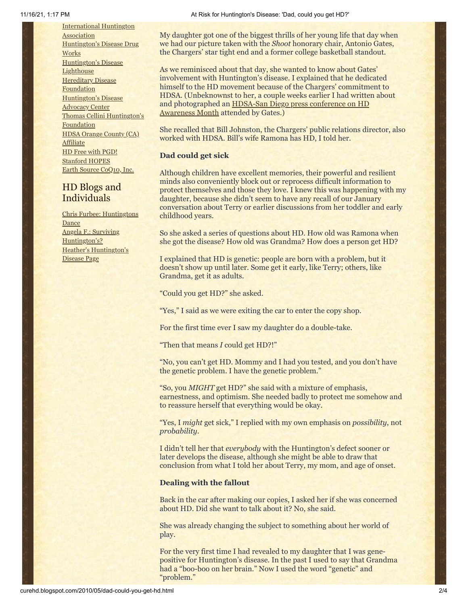[International](http://www.huntington-assoc.com/) Huntington **Association** [Huntington's](http://hddrugworks.org/) Disease Drug **Works** [Huntington's](http://www.hdlighthouse.org/) Disease **Lighthouse [Hereditary](http://www.hdfoundation.org/) Disease Foundation** [Huntington's](http://www.hdac.org/) Disease Advocacy Center Thomas [Cellini Huntington's](http://www.ourtchfoundation.org/) **Foundation** HDSA Orange County (CA) **[Affiliate](http://www.hdsaoc.org/)** HD Free with [PGD!](http://www.hdfreewithpgd.com/) [Stanford](http://www.stanford.edu/group/hopes/) HOPES Earth Source [CoQ10,](http://www.escoq10.com/) Inc.

# HD Blogs and **Individuals**

Chris Furbee: [Huntingtons](http://www.huntingtonsdance.org/) Dance Angela F.: Surviving [Huntington's?](http://survivinghuntingtons.blogspot.com/) Heather's [Huntington's](http://heatherdugdale.angelfire.com/) Disease Page

My daughter got one of the biggest thrills of her young life that day when we had our picture taken with the *Shoot* honorary chair, Antonio Gates, the Chargers' star tight end and a former college basketball standout.

As we reminisced about that day, she wanted to know about Gates' involvement with Huntington's disease. I explained that he dedicated himself to the HD movement because of the Chargers' commitment to HDSA. (Unbeknownst to her, a couple weeks earlier I had written about and photographed an **HDSA-San Diego press conference on HD** Awareness Month attended by Gates.)

She recalled that Bill Johnston, the Chargers' public relations director, also worked with HDSA. Bill's wife Ramona has HD, I told her.

## **Dad could get sick**

Although children have excellent memories, their powerful and resilient minds also conveniently block out or reprocess difficult information to protect themselves and those they love. I knew this was happening with my daughter, because she didn't seem to have any recall of our January conversation about Terry or earlier discussions from her toddler and early childhood years.

So she asked a series of questions about HD. How old was Ramona when she got the disease? How old was Grandma? How does a person get HD?

I explained that HD is genetic: people are born with a problem, but it doesn't show up until later. Some get it early, like Terry; others, like Grandma, get it as adults.

"Could you get HD?" she asked.

"Yes," I said as we were exiting the car to enter the copy shop.

For the first time ever I saw my daughter do a double-take.

"Then that means *I* could get HD?!"

"No, you can't get HD. Mommy and I had you tested, and you don't have the genetic problem. I have the genetic problem."

"So, you *MIGHT* get HD?" she said with a mixture of emphasis, earnestness, and optimism. She needed badly to protect me somehow and to reassure herself that everything would be okay.

"Yes, I *might* get sick," I replied with my own emphasis on *possibility*, not *probability*.

I didn't tell her that *everybody* with the Huntington's defect sooner or later develops the disease, although she might be able to draw that conclusion from what I told her about Terry, my mom, and age of onset.

#### **Dealing with the fallout**

Back in the car after making our copies, I asked her if she was concerned about HD. Did she want to talk about it? No, she said.

She was already changing the subject to something about her world of play.

For the very first time I had revealed to my daughter that I was genepositive for Huntington's disease. In the past I used to say that Grandma had a "boo-boo on her brain." Now I used the word "genetic" and "problem."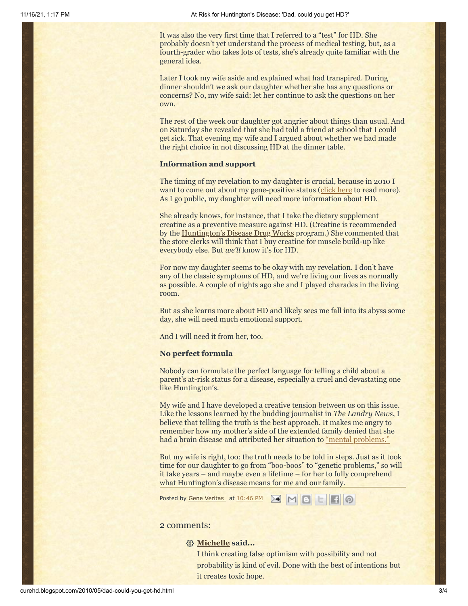It was also the very first time that I referred to a "test" for HD. She probably doesn't yet understand the process of medical testing, but, as a fourth-grader who takes lots of tests, she's already quite familiar with the general idea.

Later I took my wife aside and explained what had transpired. During dinner shouldn't we ask our daughter whether she has any questions or concerns? No, my wife said: let her continue to ask the questions on her own.

The rest of the week our daughter got angrier about things than usual. And on Saturday she revealed that she had told a friend at school that I could get sick. That evening my wife and I argued about whether we had made the right choice in not discussing HD at the dinner table.

#### **Information and support**

The timing of my revelation to my daughter is crucial, because in 2010 I want to come out about my gene-positive status ([click here](http://curehd.blogspot.com/2010/04/point-of-no-return.html) to read more). As I go public, my daughter will need more information about HD.

She already knows, for instance, that I take the dietary supplement creatine as a preventive measure against HD. (Creatine is recommended by the [Huntington's Disease Drug Works](http://www.hddrugworks.org/) program.) She commented that the store clerks will think that I buy creatine for muscle build-up like everybody else. But *we'll* know it's for HD.

For now my daughter seems to be okay with my revelation. I don't have any of the classic symptoms of HD, and we're living our lives as normally as possible. A couple of nights ago she and I played charades in the living room.

But as she learns more about HD and likely sees me fall into its abyss some day, she will need much emotional support.

And I will need it from her, too.

#### **No perfect formula**

Nobody can formulate the perfect language for telling a child about a parent's at-risk status for a disease, especially a cruel and devastating one like Huntington's.

My wife and I have developed a creative tension between us on this issue. Like the lessons learned by the budding journalist in *The Landry News*, I believe that telling the truth is the best approach. It makes me angry to remember how my mother's side of the extended family denied that she had a brain disease and attributed her situation to ["mental problems."](http://curehd.blogspot.com/2008/09/disease-denial-and-support-many-kinds.html)

But my wife is right, too: the truth needs to be told in steps. Just as it took time for our daughter to go from "boo-boos" to "genetic problems," so will it take years – and maybe even a lifetime – for her to fully comprehend what Huntington's disease means for me and our family.

Posted by Gene [Veritas](https://www.blogger.com/profile/03599828959793084715) at [10:46](http://curehd.blogspot.com/2010/05/dad-could-you-get-hd.html) PM

# 2 comments:

#### **[Michelle](http://writingtowardshappy.wordpress.com/) said...**

I think creating false optimism with possibility and not probability is kind of evil. Done with the best of intentions but it creates toxic hope.